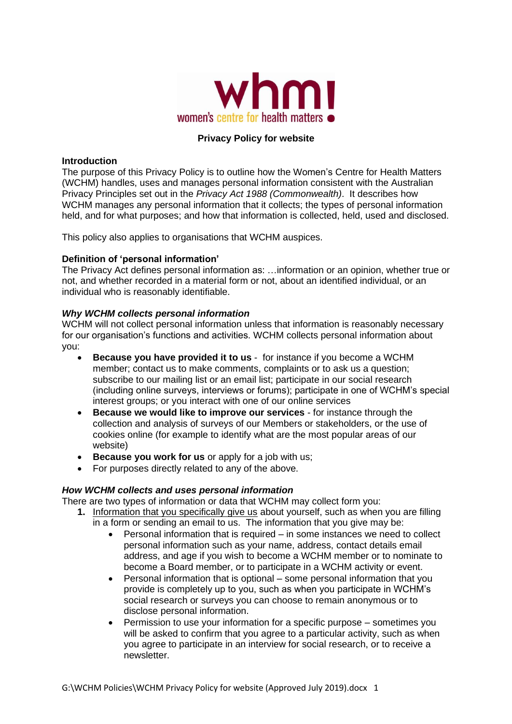

# **Privacy Policy for website**

#### **Introduction**

The purpose of this Privacy Policy is to outline how the Women's Centre for Health Matters (WCHM) handles, uses and manages personal information consistent with the Australian Privacy Principles set out in the *Privacy Act 1988 (Commonwealth)*. It describes how WCHM manages any personal information that it collects; the types of personal information held, and for what purposes; and how that information is collected, held, used and disclosed.

This policy also applies to organisations that WCHM auspices.

### **Definition of 'personal information'**

The Privacy Act defines personal information as: …information or an opinion, whether true or not, and whether recorded in a material form or not, about an identified individual, or an individual who is reasonably identifiable.

## *Why WCHM collects personal information*

WCHM will not collect personal information unless that information is reasonably necessary for our organisation's functions and activities. WCHM collects personal information about you:

- **Because you have provided it to us** for instance if you become a WCHM member; contact us to make comments, complaints or to ask us a question; subscribe to our mailing list or an email list; participate in our social research (including online surveys, interviews or forums); participate in one of WCHM's special interest groups; or you interact with one of our online services
- **Because we would like to improve our services** for instance through the collection and analysis of surveys of our Members or stakeholders, or the use of cookies online (for example to identify what are the most popular areas of our website)
- **Because you work for us** or apply for a job with us;
- For purposes directly related to any of the above.

## *How WCHM collects and uses personal information*

There are two types of information or data that WCHM may collect form you:

- **1.** Information that you specifically give us about yourself, such as when you are filling in a form or sending an email to us. The information that you give may be:
	- Personal information that is required in some instances we need to collect personal information such as your name, address, contact details email address, and age if you wish to become a WCHM member or to nominate to become a Board member, or to participate in a WCHM activity or event.
	- Personal information that is optional some personal information that you provide is completely up to you, such as when you participate in WCHM's social research or surveys you can choose to remain anonymous or to disclose personal information.
	- Permission to use your information for a specific purpose sometimes you will be asked to confirm that you agree to a particular activity, such as when you agree to participate in an interview for social research, or to receive a newsletter.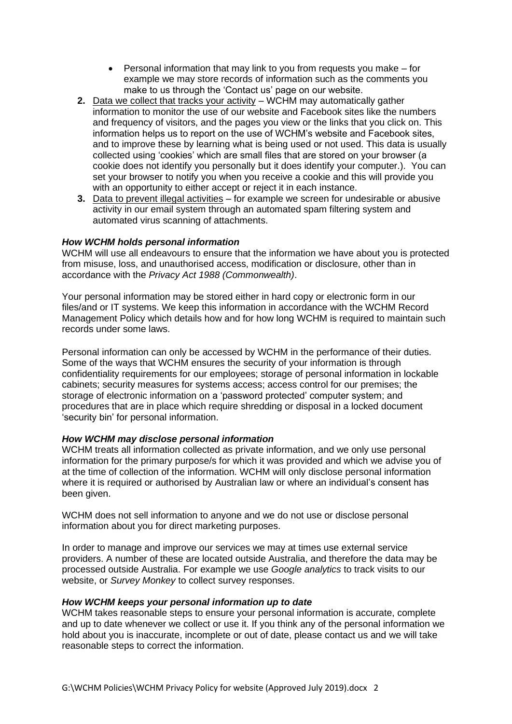- Personal information that may link to you from requests you make for example we may store records of information such as the comments you make to us through the 'Contact us' page on our website.
- **2.** Data we collect that tracks your activity WCHM may automatically gather information to monitor the use of our website and Facebook sites like the numbers and frequency of visitors, and the pages you view or the links that you click on. This information helps us to report on the use of WCHM's website and Facebook sites, and to improve these by learning what is being used or not used. This data is usually collected using 'cookies' which are small files that are stored on your browser (a cookie does not identify you personally but it does identify your computer.). You can set your browser to notify you when you receive a cookie and this will provide you with an opportunity to either accept or reject it in each instance.
- **3.** Data to prevent illegal activities for example we screen for undesirable or abusive activity in our email system through an automated spam filtering system and automated virus scanning of attachments.

### *How WCHM holds personal information*

WCHM will use all endeavours to ensure that the information we have about you is protected from misuse, loss, and unauthorised access, modification or disclosure, other than in accordance with the *Privacy Act 1988 (Commonwealth)*.

Your personal information may be stored either in hard copy or electronic form in our files/and or IT systems. We keep this information in accordance with the WCHM Record Management Policy which details how and for how long WCHM is required to maintain such records under some laws.

Personal information can only be accessed by WCHM in the performance of their duties. Some of the ways that WCHM ensures the security of your information is through confidentiality requirements for our employees; storage of personal information in lockable cabinets; security measures for systems access; access control for our premises; the storage of electronic information on a 'password protected' computer system; and procedures that are in place which require shredding or disposal in a locked document 'security bin' for personal information.

#### *How WCHM may disclose personal information*

WCHM treats all information collected as private information, and we only use personal information for the primary purpose/s for which it was provided and which we advise you of at the time of collection of the information. WCHM will only disclose personal information where it is required or authorised by Australian law or where an individual's consent has been given.

WCHM does not sell information to anyone and we do not use or disclose personal information about you for direct marketing purposes.

In order to manage and improve our services we may at times use external service providers. A number of these are located outside Australia, and therefore the data may be processed outside Australia. For example we use *Google analytics* to track visits to our website, or *Survey Monkey* to collect survey responses.

#### *How WCHM keeps your personal information up to date*

WCHM takes reasonable steps to ensure your personal information is accurate, complete and up to date whenever we collect or use it. If you think any of the personal information we hold about you is inaccurate, incomplete or out of date, please contact us and we will take reasonable steps to correct the information.